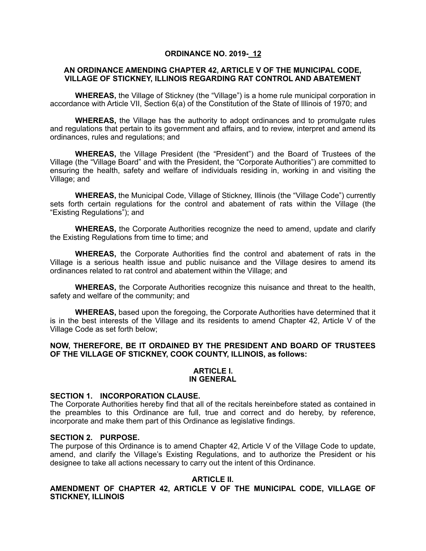### **ORDINANCE NO. 2019- 12**

### **AN ORDINANCE AMENDING CHAPTER 42, ARTICLE V OF THE MUNICIPAL CODE, VILLAGE OF STICKNEY, ILLINOIS REGARDING RAT CONTROL AND ABATEMENT**

**WHEREAS,** the Village of Stickney (the "Village") is a home rule municipal corporation in accordance with Article VII, Section 6(a) of the Constitution of the State of Illinois of 1970; and

**WHEREAS,** the Village has the authority to adopt ordinances and to promulgate rules and regulations that pertain to its government and affairs, and to review, interpret and amend its ordinances, rules and regulations; and

**WHEREAS,** the Village President (the "President") and the Board of Trustees of the Village (the "Village Board" and with the President, the "Corporate Authorities") are committed to ensuring the health, safety and welfare of individuals residing in, working in and visiting the Village; and

**WHEREAS,** the Municipal Code, Village of Stickney, Illinois (the "Village Code") currently sets forth certain regulations for the control and abatement of rats within the Village (the "Existing Regulations"); and

**WHEREAS,** the Corporate Authorities recognize the need to amend, update and clarify the Existing Regulations from time to time; and

**WHEREAS,** the Corporate Authorities find the control and abatement of rats in the Village is a serious health issue and public nuisance and the Village desires to amend its ordinances related to rat control and abatement within the Village; and

**WHEREAS,** the Corporate Authorities recognize this nuisance and threat to the health, safety and welfare of the community; and

**WHEREAS,** based upon the foregoing, the Corporate Authorities have determined that it is in the best interests of the Village and its residents to amend Chapter 42, Article V of the Village Code as set forth below;

### **NOW, THEREFORE, BE IT ORDAINED BY THE PRESIDENT AND BOARD OF TRUSTEES OF THE VILLAGE OF STICKNEY, COOK COUNTY, ILLINOIS, as follows:**

#### **ARTICLE I. IN GENERAL**

#### **SECTION 1. INCORPORATION CLAUSE.**

The Corporate Authorities hereby find that all of the recitals hereinbefore stated as contained in the preambles to this Ordinance are full, true and correct and do hereby, by reference, incorporate and make them part of this Ordinance as legislative findings.

### **SECTION 2. PURPOSE.**

The purpose of this Ordinance is to amend Chapter 42, Article V of the Village Code to update, amend, and clarify the Village's Existing Regulations, and to authorize the President or his designee to take all actions necessary to carry out the intent of this Ordinance.

### **ARTICLE II.**

### **AMENDMENT OF CHAPTER 42, ARTICLE V OF THE MUNICIPAL CODE, VILLAGE OF STICKNEY, ILLINOIS**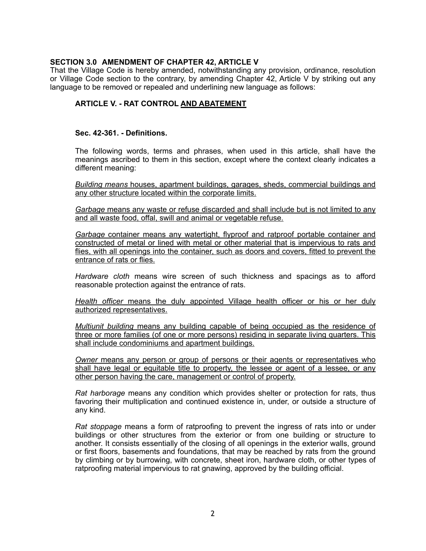# **SECTION 3.0 AMENDMENT OF CHAPTER 42, ARTICLE V**

That the Village Code is hereby amended, notwithstanding any provision, ordinance, resolution or Village Code section to the contrary, by amending Chapter 42, Article V by striking out any language to be removed or repealed and underlining new language as follows:

# **ARTICLE V. - RAT CONTROL AND ABATEMENT**

#### **Sec. 42-361. - Definitions.**

The following words, terms and phrases, when used in this article, shall have the meanings ascribed to them in this section, except where the context clearly indicates a different meaning:

*Building means* houses, apartment buildings, garages, sheds, commercial buildings and any other structure located within the corporate limits.

*Garbage* means any waste or refuse discarded and shall include but is not limited to any and all waste food, offal, swill and animal or vegetable refuse.

*Garbage* container means any watertight, flyproof and ratproof portable container and constructed of metal or lined with metal or other material that is impervious to rats and flies, with all openings into the container, such as doors and covers, fitted to prevent the entrance of rats or flies.

*Hardware cloth* means wire screen of such thickness and spacings as to afford reasonable protection against the entrance of rats.

*Health officer* means the duly appointed Village health officer or his or her duly authorized representatives.

*Multiunit building* means any building capable of being occupied as the residence of three or more families (of one or more persons) residing in separate living quarters. This shall include condominiums and apartment buildings.

*Owner* means any person or group of persons or their agents or representatives who shall have legal or equitable title to property, the lessee or agent of a lessee, or any other person having the care, management or control of property.

*Rat harborage* means any condition which provides shelter or protection for rats, thus favoring their multiplication and continued existence in, under, or outside a structure of any kind.

*Rat stoppage* means a form of ratproofing to prevent the ingress of rats into or under buildings or other structures from the exterior or from one building or structure to another. It consists essentially of the closing of all openings in the exterior walls, ground or first floors, basements and foundations, that may be reached by rats from the ground by climbing or by burrowing, with concrete, sheet iron, hardware cloth, or other types of ratproofing material impervious to rat gnawing, approved by the building official.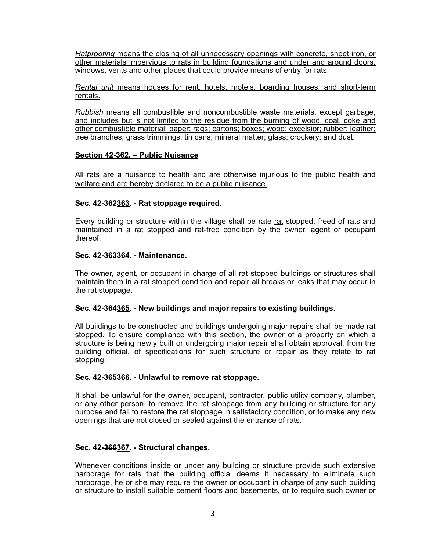*Ratproofing* means the closing of all unnecessary openings with concrete, sheet iron, or other materials impervious to rats in building foundations and under and around doors, windows, vents and other places that could provide means of entry for rats.

*Rental unit* means houses for rent, hotels, motels, boarding houses, and short-term rentals.

*Rubbish* means all combustible and noncombustible waste materials, except garbage, and includes but is not limited to the residue from the burning of wood, coal, coke and other combustible material; paper; rags; cartons; boxes; wood; excelsior; rubber; leather; tree branches; grass trimmings; tin cans; mineral matter; glass; crockery; and dust.

#### **Section 42-362. – Public Nuisance**

All rats are a nuisance to health and are otherwise injurious to the public health and welfare and are hereby declared to be a public nuisance.

#### **Sec. 42-362363. - Rat stoppage required.**

Every building or structure within the village shall be rate rat stopped, freed of rats and maintained in a rat stopped and rat-free condition by the owner, agent or occupant thereof.

#### **Sec. 42-363364. - Maintenance.**

The owner, agent, or occupant in charge of all rat stopped buildings or structures shall maintain them in a rat stopped condition and repair all breaks or leaks that may occur in the rat stoppage.

### **Sec. 42-364365. - New buildings and major repairs to existing buildings.**

All buildings to be constructed and buildings undergoing major repairs shall be made rat stopped. To ensure compliance with this section, the owner of a property on which a structure is being newly built or undergoing major repair shall obtain approval, from the building official, of specifications for such structure or repair as they relate to rat stopping.

### **Sec. 42-365366. - Unlawful to remove rat stoppage.**

It shall be unlawful for the owner, occupant, contractor, public utility company, plumber, or any other person, to remove the rat stoppage from any building or structure for any purpose and fail to restore the rat stoppage in satisfactory condition, or to make any new openings that are not closed or sealed against the entrance of rats.

## **Sec. 42-366367. - Structural changes.**

Whenever conditions inside or under any building or structure provide such extensive harborage for rats that the building official deems it necessary to eliminate such harborage, he or she may require the owner or occupant in charge of any such building or structure to install suitable cement floors and basements, or to require such owner or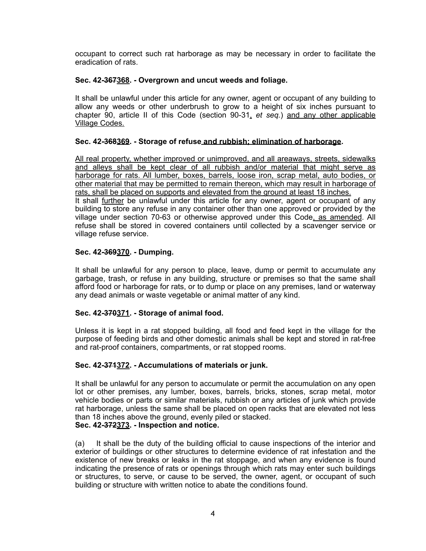occupant to correct such rat harborage as may be necessary in order to facilitate the eradication of rats.

# **Sec. 42-367368. - Overgrown and uncut weeds and foliage.**

It shall be unlawful under this article for any owner, agent or occupant of any building to allow any weeds or other underbrush to grow to a height of six inches pursuant to chapter 90, article II of this Code (section 90-31, *et seq.*) and any other applicable Village Codes.

# **Sec. 42-368369. - Storage of refuse and rubbish; elimination of harborage.**

All real property, whether improved or unimproved, and all areaways, streets, sidewalks and alleys shall be kept clear of all rubbish and/or material that might serve as harborage for rats. All lumber, boxes, barrels, loose iron, scrap metal, auto bodies, or other material that may be permitted to remain thereon, which may result in harborage of rats, shall be placed on supports and elevated from the ground at least 18 inches. It shall further be unlawful under this article for any owner, agent or occupant of any building to store any refuse in any container other than one approved or provided by the village under section 70-63 or otherwise approved under this Code, as amended. All refuse shall be stored in covered containers until collected by a scavenger service or village refuse service.

# **Sec. 42-369370. - Dumping.**

It shall be unlawful for any person to place, leave, dump or permit to accumulate any garbage, trash, or refuse in any building, structure or premises so that the same shall afford food or harborage for rats, or to dump or place on any premises, land or waterway any dead animals or waste vegetable or animal matter of any kind.

### **Sec. 42-370371. - Storage of animal food.**

Unless it is kept in a rat stopped building, all food and feed kept in the village for the purpose of feeding birds and other domestic animals shall be kept and stored in rat-free and rat-proof containers, compartments, or rat stopped rooms.

### **Sec. 42-371372. - Accumulations of materials or junk.**

It shall be unlawful for any person to accumulate or permit the accumulation on any open lot or other premises, any lumber, boxes, barrels, bricks, stones, scrap metal, motor vehicle bodies or parts or similar materials, rubbish or any articles of junk which provide rat harborage, unless the same shall be placed on open racks that are elevated not less than 18 inches above the ground, evenly piled or stacked. **Sec. 42-372373. - Inspection and notice.** 

(a) It shall be the duty of the building official to cause inspections of the interior and exterior of buildings or other structures to determine evidence of rat infestation and the existence of new breaks or leaks in the rat stoppage, and when any evidence is found indicating the presence of rats or openings through which rats may enter such buildings or structures, to serve, or cause to be served, the owner, agent, or occupant of such building or structure with written notice to abate the conditions found.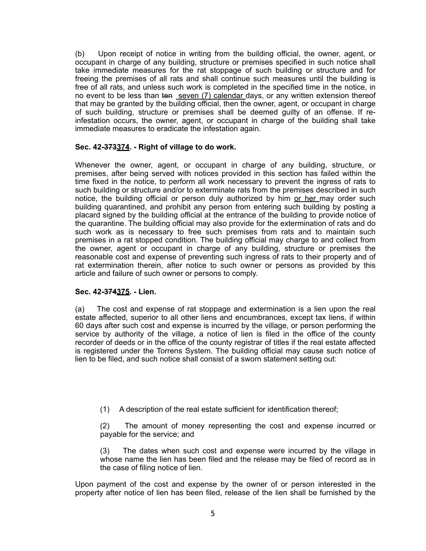(b) Upon receipt of notice in writing from the building official, the owner, agent, or occupant in charge of any building, structure or premises specified in such notice shall take immediate measures for the rat stoppage of such building or structure and for freeing the premises of all rats and shall continue such measures until the building is free of all rats, and unless such work is completed in the specified time in the notice, in no event to be less than ten seven (7) calendar days, or any written extension thereof that may be granted by the building official, then the owner, agent, or occupant in charge of such building, structure or premises shall be deemed guilty of an offense. If reinfestation occurs, the owner, agent, or occupant in charge of the building shall take immediate measures to eradicate the infestation again.

# **Sec. 42-373374. - Right of village to do work.**

Whenever the owner, agent, or occupant in charge of any building, structure, or premises, after being served with notices provided in this section has failed within the time fixed in the notice, to perform all work necessary to prevent the ingress of rats to such building or structure and/or to exterminate rats from the premises described in such notice, the building official or person duly authorized by him or her may order such building quarantined, and prohibit any person from entering such building by posting a placard signed by the building official at the entrance of the building to provide notice of the quarantine. The building official may also provide for the extermination of rats and do such work as is necessary to free such premises from rats and to maintain such premises in a rat stopped condition. The building official may charge to and collect from the owner, agent or occupant in charge of any building, structure or premises the reasonable cost and expense of preventing such ingress of rats to their property and of rat extermination therein, after notice to such owner or persons as provided by this article and failure of such owner or persons to comply.

### **Sec. 42-374375. - Lien.**

(a) The cost and expense of rat stoppage and extermination is a lien upon the real estate affected, superior to all other liens and encumbrances, except tax liens, if within 60 days after such cost and expense is incurred by the village, or person performing the service by authority of the village, a notice of lien is filed in the office of the county recorder of deeds or in the office of the county registrar of titles if the real estate affected is registered under the Torrens System. The building official may cause such notice of lien to be filed, and such notice shall consist of a sworn statement setting out:

(1) A description of the real estate sufficient for identification thereof;

(2) The amount of money representing the cost and expense incurred or payable for the service; and

(3) The dates when such cost and expense were incurred by the village in whose name the lien has been filed and the release may be filed of record as in the case of filing notice of lien.

Upon payment of the cost and expense by the owner of or person interested in the property after notice of lien has been filed, release of the lien shall be furnished by the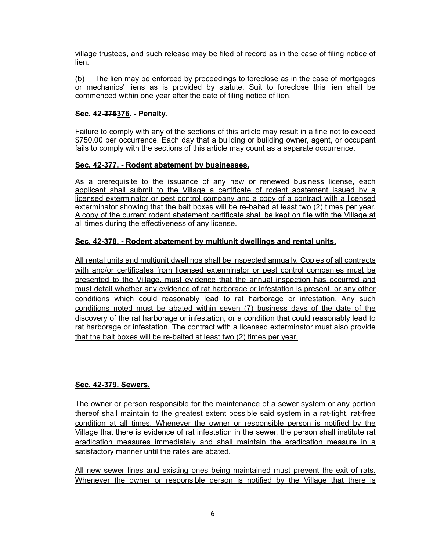village trustees, and such release may be filed of record as in the case of filing notice of lien.

(b) The lien may be enforced by proceedings to foreclose as in the case of mortgages or mechanics' liens as is provided by statute. Suit to foreclose this lien shall be commenced within one year after the date of filing notice of lien.

## **Sec. 42-375376. - Penalty.**

Failure to comply with any of the sections of this article may result in a fine not to exceed \$750.00 per occurrence. Each day that a building or building owner, agent, or occupant fails to comply with the sections of this article may count as a separate occurrence.

### **Sec. 42-377. - Rodent abatement by businesses.**

As a prerequisite to the issuance of any new or renewed business license. each applicant shall submit to the Village a certificate of rodent abatement issued by a licensed exterminator or pest control company and a copy of a contract with a licensed exterminator showing that the bait boxes will be re-baited at least two (2) times per year. A copy of the current rodent abatement certificate shall be kept on file with the Village at all times during the effectiveness of any license.

# **Sec. 42-378. - Rodent abatement by multiunit dwellings and rental units.**

All rental units and multiunit dwellings shall be inspected annually. Copies of all contracts with and/or certificates from licensed exterminator or pest control companies must be presented to the Village, must evidence that the annual inspection has occurred and must detail whether any evidence of rat harborage or infestation is present, or any other conditions which could reasonably lead to rat harborage or infestation. Any such conditions noted must be abated within seven (7) business days of the date of the discovery of the rat harborage or infestation, or a condition that could reasonably lead to rat harborage or infestation. The contract with a licensed exterminator must also provide that the bait boxes will be re-baited at least two (2) times per year.

### **Sec. 42-379. Sewers.**

The owner or person responsible for the maintenance of a sewer system or any portion thereof shall maintain to the greatest extent possible said system in a rat-tight, rat-free condition at all times. Whenever the owner or responsible person is notified by the Village that there is evidence of rat infestation in the sewer, the person shall institute rat eradication measures immediately and shall maintain the eradication measure in a satisfactory manner until the rates are abated.

All new sewer lines and existing ones being maintained must prevent the exit of rats. Whenever the owner or responsible person is notified by the Village that there is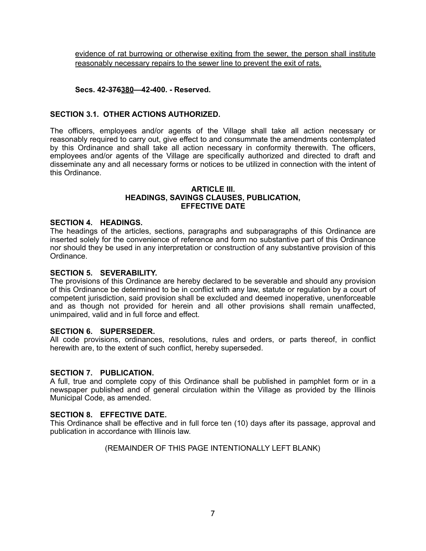evidence of rat burrowing or otherwise exiting from the sewer, the person shall institute reasonably necessary repairs to the sewer line to prevent the exit of rats.

# **Secs. 42-376380—42-400. - Reserved.**

# **SECTION 3.1. OTHER ACTIONS AUTHORIZED.**

The officers, employees and/or agents of the Village shall take all action necessary or reasonably required to carry out, give effect to and consummate the amendments contemplated by this Ordinance and shall take all action necessary in conformity therewith. The officers, employees and/or agents of the Village are specifically authorized and directed to draft and disseminate any and all necessary forms or notices to be utilized in connection with the intent of this Ordinance.

#### **ARTICLE III. HEADINGS, SAVINGS CLAUSES, PUBLICATION, EFFECTIVE DATE**

#### **SECTION 4. HEADINGS.**

The headings of the articles, sections, paragraphs and subparagraphs of this Ordinance are inserted solely for the convenience of reference and form no substantive part of this Ordinance nor should they be used in any interpretation or construction of any substantive provision of this Ordinance.

### **SECTION 5. SEVERABILITY.**

The provisions of this Ordinance are hereby declared to be severable and should any provision of this Ordinance be determined to be in conflict with any law, statute or regulation by a court of competent jurisdiction, said provision shall be excluded and deemed inoperative, unenforceable and as though not provided for herein and all other provisions shall remain unaffected, unimpaired, valid and in full force and effect.

#### **SECTION 6. SUPERSEDER.**

All code provisions, ordinances, resolutions, rules and orders, or parts thereof, in conflict herewith are, to the extent of such conflict, hereby superseded.

#### **SECTION 7. PUBLICATION.**

A full, true and complete copy of this Ordinance shall be published in pamphlet form or in a newspaper published and of general circulation within the Village as provided by the Illinois Municipal Code, as amended.

## **SECTION 8. EFFECTIVE DATE.**

This Ordinance shall be effective and in full force ten (10) days after its passage, approval and publication in accordance with Illinois law.

### (REMAINDER OF THIS PAGE INTENTIONALLY LEFT BLANK)